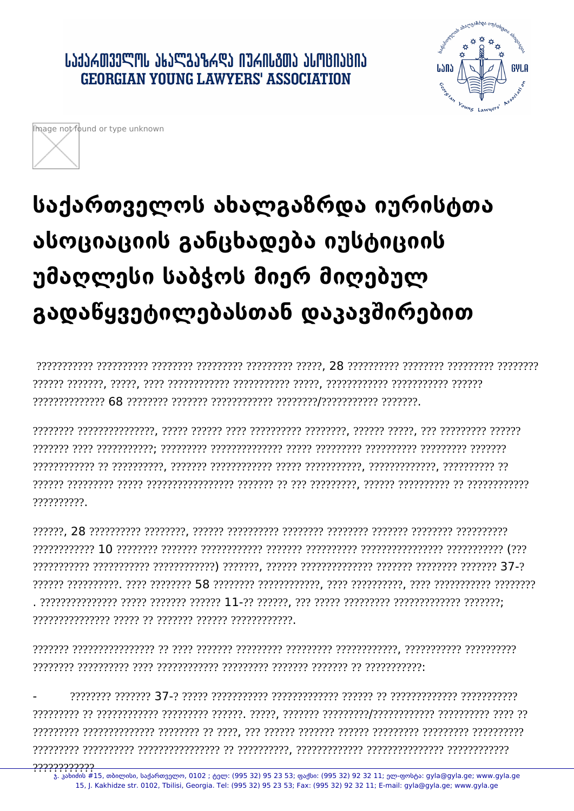## **ᲡᲐᲥᲐᲠᲗᲕᲔᲚᲝᲡ ᲐᲮᲐᲚᲒᲐᲖᲠᲓᲐ ᲘᲣᲠᲘᲡᲒᲗᲐ ᲐᲡᲝᲪᲘᲐᲪᲘᲐ GEORGIAN YOUNG LAWYERS' ASSOCIATION**





## საქართველოს ახალგაზრდა იურისტთა ასოციაციის განცხადება იუსტიციის უმაღლესი საბჭოს მიერ მიღებულ გადაწყვეტილებასთან დაკავშირებით

?????????

,,,,,,,,,,,,,,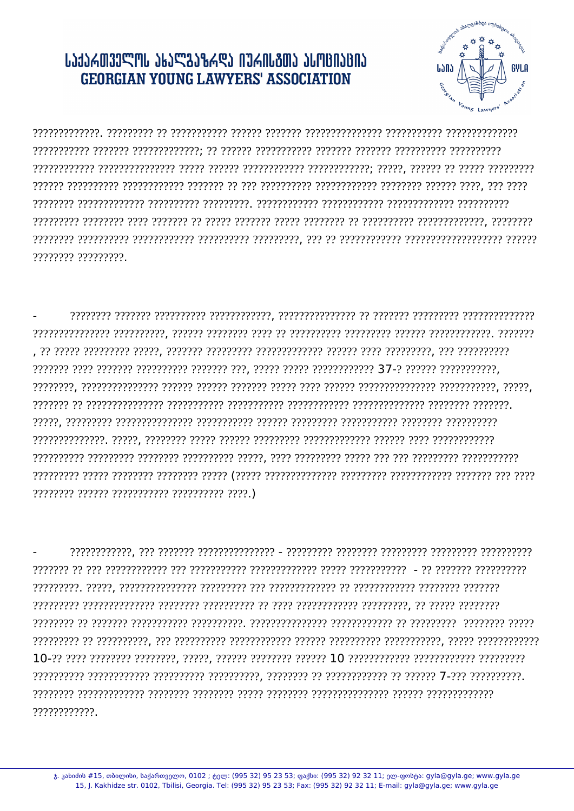## JJJJAM339ML JKJSJKARJ NJANJAMJ JLMBNJBNJ **GEORGIAN YOUNG LAWYERS' ASSOCIATION**



???????? ?????????.

and the construction of the construction and the construction of the construction construction of the construc reserving and the construction concerning reserve to the concerning the concerning reserved to the concerning 

ויוריוויויני ויוריוויוין ויוריוויוויון ויוריוויון ויוריוויון - ויוריוויוויוויוויון ויוריווי ויו. ויוריוויוויווי accedere popperare proporcioner pe proporcionere pre proporcioner proporcione proporcione proporcione recoccección en cococcective coccección cocococective cococcective cococcective coccective or cococción ????????????